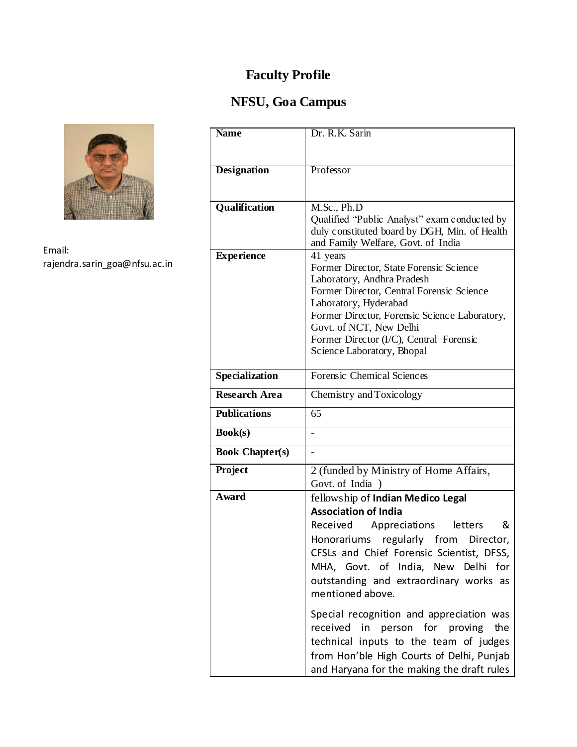# **NFSU, Goa Campus**



Email: rajendra.sarin\_goa@nfsu.ac.in

| <b>Name</b>            | Dr. R.K. Sarin                                                          |  |  |
|------------------------|-------------------------------------------------------------------------|--|--|
|                        |                                                                         |  |  |
|                        |                                                                         |  |  |
| <b>Designation</b>     | Professor                                                               |  |  |
|                        |                                                                         |  |  |
| Qualification          | M.Sc., Ph.D                                                             |  |  |
|                        | Qualified "Public Analyst" exam conducted by                            |  |  |
|                        | duly constituted board by DGH, Min. of Health                           |  |  |
|                        | and Family Welfare, Govt. of India                                      |  |  |
| <b>Experience</b>      | 41 years                                                                |  |  |
|                        | Former Director, State Forensic Science                                 |  |  |
|                        | Laboratory, Andhra Pradesh<br>Former Director, Central Forensic Science |  |  |
|                        | Laboratory, Hyderabad                                                   |  |  |
|                        | Former Director, Forensic Science Laboratory,                           |  |  |
|                        | Govt. of NCT, New Delhi                                                 |  |  |
|                        | Former Director (I/C), Central Forensic                                 |  |  |
|                        | Science Laboratory, Bhopal                                              |  |  |
| <b>Specialization</b>  | Forensic Chemical Sciences                                              |  |  |
|                        |                                                                         |  |  |
| <b>Research Area</b>   | Chemistry and Toxicology                                                |  |  |
| <b>Publications</b>    | 65                                                                      |  |  |
| <b>Book(s)</b>         |                                                                         |  |  |
| <b>Book Chapter(s)</b> |                                                                         |  |  |
| Project                | 2 (funded by Ministry of Home Affairs,                                  |  |  |
|                        | Govt. of India )                                                        |  |  |
| Award                  | fellowship of Indian Medico Legal                                       |  |  |
|                        | <b>Association of India</b>                                             |  |  |
|                        | Received Appreciations<br>&<br>letters                                  |  |  |
|                        | Honorariums regularly from Director,                                    |  |  |
|                        | CFSLs and Chief Forensic Scientist, DFSS,                               |  |  |
|                        | MHA, Govt. of India, New Delhi<br>for                                   |  |  |
|                        | outstanding and extraordinary works as                                  |  |  |
|                        | mentioned above.                                                        |  |  |
|                        | Special recognition and appreciation was                                |  |  |
|                        | received in person for proving<br>the                                   |  |  |
|                        | technical inputs to the team of judges                                  |  |  |
|                        | from Hon'ble High Courts of Delhi, Punjab                               |  |  |
|                        | and Haryana for the making the draft rules                              |  |  |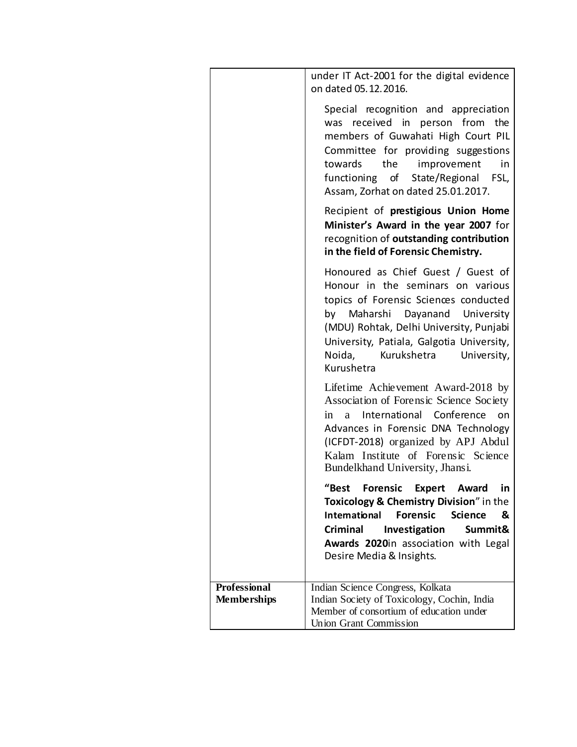|                                           | under IT Act-2001 for the digital evidence<br>on dated 05.12.2016.                                                                                                                                                                                                                                |
|-------------------------------------------|---------------------------------------------------------------------------------------------------------------------------------------------------------------------------------------------------------------------------------------------------------------------------------------------------|
|                                           | Special recognition and appreciation<br>was received in person from<br>the<br>members of Guwahati High Court PIL<br>Committee for providing suggestions<br>improvement<br>towards<br>the<br>in<br>functioning of State/Regional FSL,<br>Assam, Zorhat on dated 25.01.2017.                        |
|                                           | Recipient of prestigious Union Home<br>Minister's Award in the year 2007 for<br>recognition of outstanding contribution<br>in the field of Forensic Chemistry.                                                                                                                                    |
|                                           | Honoured as Chief Guest / Guest of<br>Honour in the seminars on various<br>topics of Forensic Sciences conducted<br>by Maharshi Dayanand University<br>(MDU) Rohtak, Delhi University, Punjabi<br>University, Patiala, Galgotia University,<br>Noida,<br>Kurukshetra<br>University,<br>Kurushetra |
|                                           | Lifetime Achievement Award-2018 by<br>Association of Forensic Science Society<br>International Conference on<br>in<br>a<br>Advances in Forensic DNA Technology<br>(ICFDT-2018) organized by APJ Abdul<br>Kalam Institute of Forensic Science<br>Bundelkhand University, Jhansi.                   |
|                                           | "Best<br>Forensic Expert Award in<br>Toxicology & Chemistry Division" in the<br><b>Forensic</b><br><b>International</b><br><b>Science</b><br>&<br>Investigation<br>Criminal<br>Summit&<br>Awards 2020in association with Legal<br>Desire Media & Insights.                                        |
| <b>Professional</b><br><b>Memberships</b> | Indian Science Congress, Kolkata<br>Indian Society of Toxicology, Cochin, India<br>Member of consortium of education under<br><b>Union Grant Commission</b>                                                                                                                                       |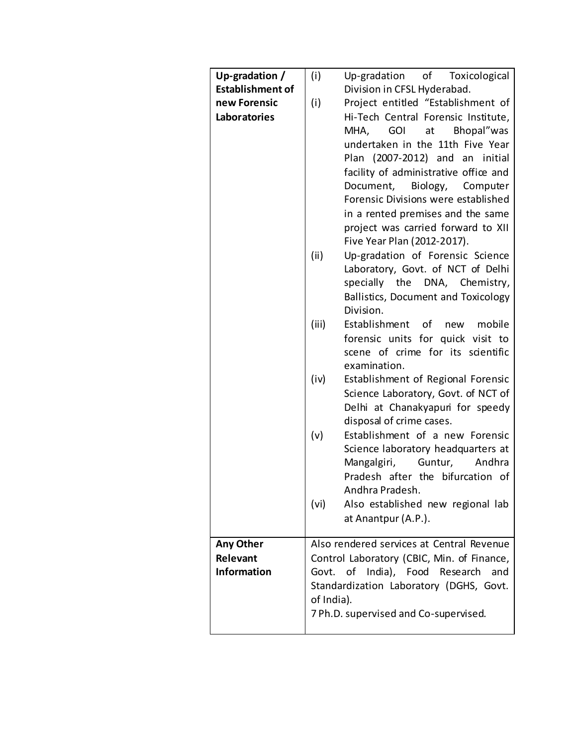| Up-gradation /          | (i)        | Up-gradation of Toxicological              |  |  |
|-------------------------|------------|--------------------------------------------|--|--|
| <b>Establishment of</b> |            | Division in CFSL Hyderabad.                |  |  |
| new Forensic            | (i)        | Project entitled "Establishment of         |  |  |
| Laboratories            |            | Hi-Tech Central Forensic Institute,        |  |  |
|                         |            | MHA, GOI<br>at Bhopal"was                  |  |  |
|                         |            | undertaken in the 11th Five Year           |  |  |
|                         |            | Plan (2007-2012) and an initial            |  |  |
|                         |            | facility of administrative office and      |  |  |
|                         |            | Biology, Computer<br>Document,             |  |  |
|                         |            | Forensic Divisions were established        |  |  |
|                         |            |                                            |  |  |
|                         |            | in a rented premises and the same          |  |  |
|                         |            | project was carried forward to XII         |  |  |
|                         |            | Five Year Plan (2012-2017).                |  |  |
|                         | (ii)       | Up-gradation of Forensic Science           |  |  |
|                         |            | Laboratory, Govt. of NCT of Delhi          |  |  |
|                         |            | specially the DNA, Chemistry,              |  |  |
|                         |            | Ballistics, Document and Toxicology        |  |  |
|                         |            | Division.                                  |  |  |
|                         | (iii)      | Establishment of<br>mobile<br>new          |  |  |
|                         |            | forensic units for quick visit to          |  |  |
|                         |            | scene of crime for its scientific          |  |  |
|                         |            | examination.                               |  |  |
|                         | (iv)       | Establishment of Regional Forensic         |  |  |
|                         |            |                                            |  |  |
|                         |            | Science Laboratory, Govt. of NCT of        |  |  |
|                         |            | Delhi at Chanakyapuri for speedy           |  |  |
|                         |            | disposal of crime cases.                   |  |  |
|                         | (v)        | Establishment of a new Forensic            |  |  |
|                         |            | Science laboratory headquarters at         |  |  |
|                         |            | Andhra<br>Mangalgiri,<br>Guntur,           |  |  |
|                         |            | Pradesh after the bifurcation of           |  |  |
|                         |            | Andhra Pradesh.                            |  |  |
|                         | (vi)       | Also established new regional lab          |  |  |
|                         |            | at Anantpur (A.P.).                        |  |  |
|                         |            |                                            |  |  |
| Any Other               |            | Also rendered services at Central Revenue  |  |  |
| Relevant                |            | Control Laboratory (CBIC, Min. of Finance, |  |  |
| <b>Information</b>      |            | Govt. of India), Food Research<br>and      |  |  |
|                         |            | Standardization Laboratory (DGHS, Govt.    |  |  |
|                         | of India). |                                            |  |  |
|                         |            | 7 Ph.D. supervised and Co-supervised.      |  |  |
|                         |            |                                            |  |  |
|                         |            |                                            |  |  |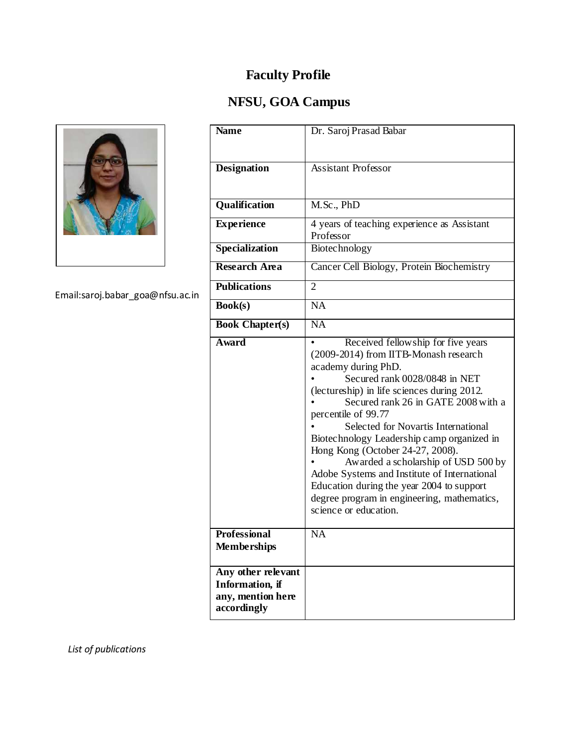# **NFSU, GOA Campus**



Email:saroj.babar\_goa@nfsu.ac.in

| <b>Name</b>                                                               | Dr. Saroj Prasad Babar                                                                                                                                                                                                                                                                                                                                                                                                                                                                                                                                                                |
|---------------------------------------------------------------------------|---------------------------------------------------------------------------------------------------------------------------------------------------------------------------------------------------------------------------------------------------------------------------------------------------------------------------------------------------------------------------------------------------------------------------------------------------------------------------------------------------------------------------------------------------------------------------------------|
| <b>Designation</b>                                                        | <b>Assistant Professor</b>                                                                                                                                                                                                                                                                                                                                                                                                                                                                                                                                                            |
| Qualification                                                             | M.Sc., PhD                                                                                                                                                                                                                                                                                                                                                                                                                                                                                                                                                                            |
| <b>Experience</b>                                                         | 4 years of teaching experience as Assistant<br>Professor                                                                                                                                                                                                                                                                                                                                                                                                                                                                                                                              |
| <b>Specialization</b>                                                     | Biotechnology                                                                                                                                                                                                                                                                                                                                                                                                                                                                                                                                                                         |
| <b>Research Area</b>                                                      | Cancer Cell Biology, Protein Biochemistry                                                                                                                                                                                                                                                                                                                                                                                                                                                                                                                                             |
| <b>Publications</b>                                                       | $\overline{2}$                                                                                                                                                                                                                                                                                                                                                                                                                                                                                                                                                                        |
| Book(s)                                                                   | $\overline{NA}$                                                                                                                                                                                                                                                                                                                                                                                                                                                                                                                                                                       |
| <b>Book Chapter(s)</b>                                                    | <b>NA</b>                                                                                                                                                                                                                                                                                                                                                                                                                                                                                                                                                                             |
| <b>Award</b>                                                              | Received fellowship for five years<br>(2009-2014) from IITB-Monash research<br>academy during PhD.<br>Secured rank 0028/0848 in NET<br>(lectureship) in life sciences during 2012.<br>Secured rank 26 in GATE 2008 with a<br>percentile of 99.77<br>Selected for Novartis International<br>Biotechnology Leadership camp organized in<br>Hong Kong (October 24-27, 2008).<br>Awarded a scholarship of USD 500 by<br>Adobe Systems and Institute of International<br>Education during the year 2004 to support<br>degree program in engineering, mathematics,<br>science or education. |
| <b>Professional</b><br><b>Memberships</b>                                 | $\overline{NA}$                                                                                                                                                                                                                                                                                                                                                                                                                                                                                                                                                                       |
| Any other relevant<br>Information, if<br>any, mention here<br>accordingly |                                                                                                                                                                                                                                                                                                                                                                                                                                                                                                                                                                                       |

*List of publications*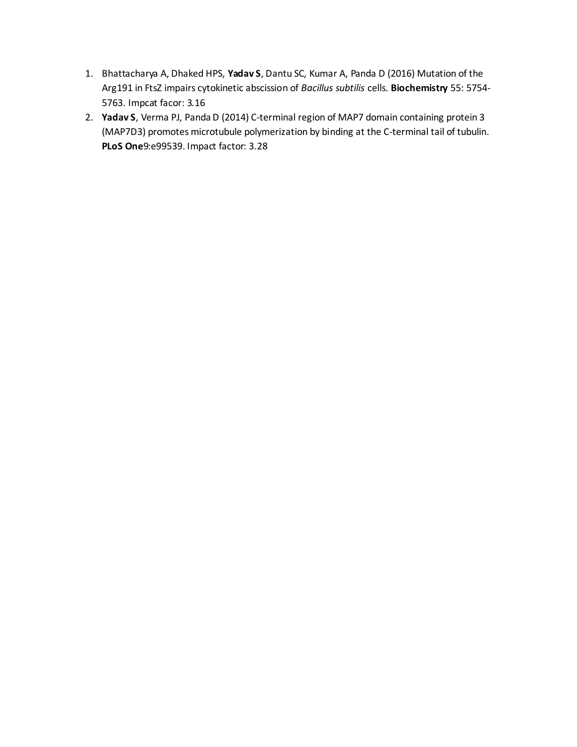- 1. Bhattacharya A, Dhaked HPS, **Yadav S**, Dantu SC, Kumar A, Panda D (2016) Mutation of the Arg191 in FtsZ impairs cytokinetic abscission of *Bacillus subtilis* cells. **Biochemistry** 55: 5754- 5763. Impcat facor: 3.16
- 2. **Yadav S**, Verma PJ, Panda D (2014) C-terminal region of MAP7 domain containing protein 3 (MAP7D3) promotes microtubule polymerization by binding at the C-terminal tail of tubulin. **PLoS One**9:e99539. Impact factor: 3.28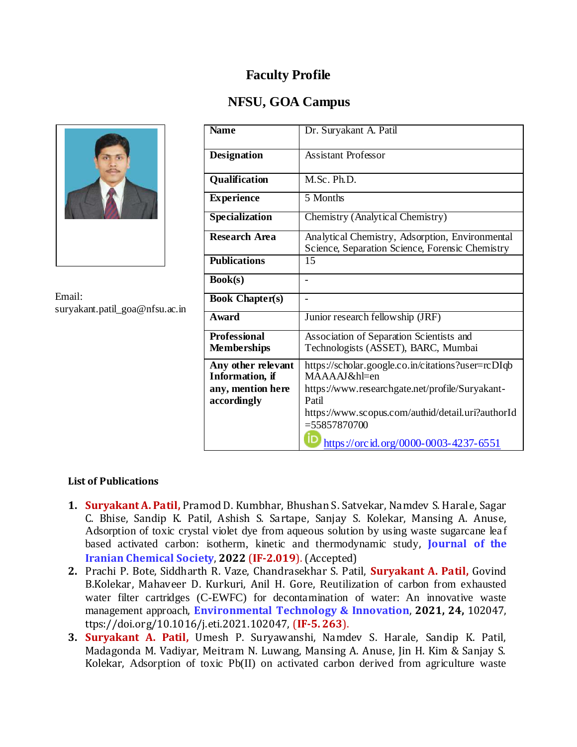## **NFSU, GOA Campus**



Email: suryakant.patil\_goa@nfsu.ac.in

| <b>Name</b>                                                                       | Dr. Suryakant A. Patil                                                                                                                                                                                                                          |
|-----------------------------------------------------------------------------------|-------------------------------------------------------------------------------------------------------------------------------------------------------------------------------------------------------------------------------------------------|
| <b>Designation</b>                                                                | <b>Assistant Professor</b>                                                                                                                                                                                                                      |
| Qualification                                                                     | M.Sc. Ph.D.                                                                                                                                                                                                                                     |
| <b>Experience</b>                                                                 | 5 Months                                                                                                                                                                                                                                        |
| Specialization                                                                    | Chemistry (Analytical Chemistry)                                                                                                                                                                                                                |
| <b>Research Area</b>                                                              | Analytical Chemistry, Adsorption, Environmental<br>Science, Separation Science, Forensic Chemistry                                                                                                                                              |
| <b>Publications</b>                                                               | 15                                                                                                                                                                                                                                              |
| Book(s)                                                                           |                                                                                                                                                                                                                                                 |
| <b>Book Chapter(s)</b>                                                            |                                                                                                                                                                                                                                                 |
| <b>Award</b>                                                                      | Junior research fellowship (JRF)                                                                                                                                                                                                                |
| <b>Professional</b><br><b>Memberships</b>                                         | Association of Separation Scientists and<br>Technologists (ASSET), BARC, Mumbai                                                                                                                                                                 |
| Any other relevant<br><b>Information</b> , if<br>any, mention here<br>accordingly | https://scholar.google.co.in/citations?user=rcDIqb<br>MAAAAJ&hl=en<br>https://www.researchgate.net/profile/Suryakant-<br>Patil<br>https://www.scopus.com/authid/detail.uri?authorId<br>$= 55857870700$<br>https://orcid.org/0000-0003-4237-6551 |

### **List of Publications**

- **1. Suryakant A. Patil,** Pramod D. Kumbhar, Bhushan S. Satvekar, Namdev S. Harale, Sagar C. Bhise, Sandip K. Patil, Ashish S. Sartape, Sanjay S. Kolekar, Mansing A. Anuse, Adsorption of toxic crystal violet dye from aqueous solution by using waste sugarcane leaf based activated carbon: isotherm, kinetic and thermodynamic study, **Journal of the Iranian Chemical Society**, **2022** (**IF-2.019**). (Accepted)
- **2.** Prachi P. Bote, Siddharth R. Vaze, Chandrasekhar S. Patil, **Suryakant A. Patil,** Govind B.Kolekar, Mahaveer D. Kurkuri, Anil H. Gore, Reutilization of carbon from exhausted water filter cartridges (C-EWFC) for decontamination of water: An innovative waste management approach, **Environmental Technology & Innovation**, **2021, 24,** 102047, ttps://doi.org/10.1016/j.eti.2021.102047, (**IF-5. 263**).
- **3. Suryakant A. Patil,** Umesh P. Suryawanshi, Namdev S. Harale, Sandip K. Patil, Madagonda M. Vadiyar, Meitram N. Luwang, Mansing A. Anuse, Jin H. Kim & Sanjay S. Kolekar, Adsorption of toxic Pb(II) on activated carbon derived from agriculture waste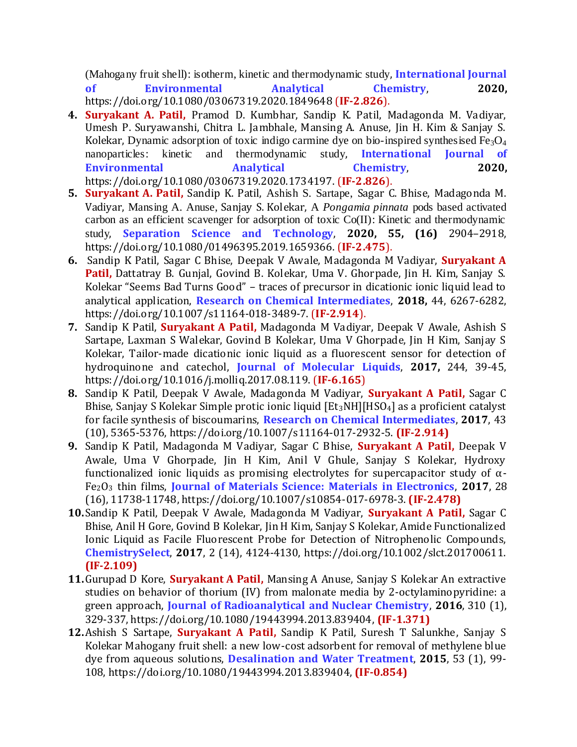(Mahogany fruit shell): isotherm, kinetic and thermodynamic study, **International Journal of Environmental Analytical Chemistry**, **2020,** https://doi.org/10.1080/03067319.2020.1849648 (**IF-2.826**).

- **4. Suryakant A. Patil,** Pramod D. Kumbhar, Sandip K. Patil, Madagonda M. Vadiyar, Umesh P. Suryawanshi, Chitra L. Jambhale, Mansing A. Anuse, Jin H. Kim & Sanjay S. Kolekar, Dynamic adsorption of toxic indigo carmine dye on bio-inspired synthesised  $Fe<sub>3</sub>O<sub>4</sub>$ nanoparticles: kinetic and thermodynamic study, **International Journal of Environmental Analytical Chemistry**, **2020,** https://doi.org/10.1080/03067319.2020.1734197. (**IF-2.826**).
- **5. Suryakant A. Patil,** Sandip K. Patil, Ashish S. Sartape, Sagar C. Bhise, Madagonda M. Vadiyar, Mansing A. Anuse, Sanjay S. Kolekar, A *Pongamia pinnata* pods based activated carbon as an efficient scavenger for adsorption of toxic Co(II): Kinetic and thermodynamic study, **Separation Science and Technology**, **2020, 55, (16)** 2904–2918, https://doi.org/10.1080/01496395.2019.1659366. (**IF-2.475**).
- **6.** Sandip K Patil, Sagar C Bhise, Deepak V Awale, Madagonda M Vadiyar, **Suryakant A Patil,** Dattatray B. Gunjal, Govind B. Kolekar, Uma V. Ghorpade, Jin H. Kim, Sanjay S. Kolekar "Seems Bad Turns Good" – traces of precursor in dicationic ionic liquid lead to analytical application, **Research on Chemical Intermediates**, **2018,** 44, 6267-6282, https://doi.org/10.1007/s11164-018-3489-7. (**IF-2.914**).
- **7.** Sandip K Patil, **Suryakant A Patil,** Madagonda M Vadiyar, Deepak V Awale, Ashish S Sartape, Laxman S Walekar, Govind B Kolekar, Uma V Ghorpade, Jin H Kim, Sanjay S Kolekar, Tailor-made dicationic ionic liquid as a fluorescent sensor for detection of hydroquinone and catechol, **Journal of Molecular Liquids**, **2017,** 244, 39-45, https://doi.org/10.1016/j.molliq.2017.08.119. (**IF-6.165**)
- **8.** Sandip K Patil, Deepak V Awale, Madagonda M Vadiyar, **Suryakant A Patil,** Sagar C Bhise, Sanjay S Kolekar Simple protic ionic liquid [Et<sub>3</sub>NH][HSO<sub>4</sub>] as a proficient catalyst for facile synthesis of biscoumarins, **Research on Chemical Intermediates**, **2017**, 43 (10), 5365-5376, https://doi.org/10.1007/s11164-017-2932-5. **(IF-2.914)**
- **9.** Sandip K Patil, Madagonda M Vadiyar, Sagar C Bhise, **Suryakant A Patil,** Deepak V Awale, Uma V Ghorpade, Jin H Kim, Anil V Ghule, Sanjay S Kolekar, Hydroxy functionalized ionic liquids as promising electrolytes for supercapacitor study of  $\alpha$ -Fe2O<sup>3</sup> thin films, **Journal of Materials Science: Materials in Electronics**, **2017**, 28 (16), 11738-11748, https://doi.org/10.1007/s10854-017-6978-3. **(IF-2.478)**
- **10.**Sandip K Patil, Deepak V Awale, Madagonda M Vadiyar, **Suryakant A Patil,** Sagar C Bhise, Anil H Gore, Govind B Kolekar, Jin H Kim, Sanjay S Kolekar, Amide Functionalized Ionic Liquid as Facile Fluorescent Probe for Detection of Nitrophenolic Compounds, **ChemistrySelect**, **2017**, 2 (14), 4124-4130, https://doi.org/10.1002/slct.201700611. **(IF-2.109)**
- **11.**Gurupad D Kore, **Suryakant A Patil,** Mansing A Anuse, Sanjay S Kolekar An extractive studies on behavior of thorium (IV) from malonate media by 2-octylaminopyridine: a green approach, **Journal of Radioanalytical and Nuclear Chemistry**, **2016**, 310 (1), 329-337, https://doi.org/10.1080/19443994.2013.839404, **(IF-1.371)**
- **12.**Ashish S Sartape, **Suryakant A Patil,** Sandip K Patil, Suresh T Salunkhe, Sanjay S Kolekar Mahogany fruit shell: a new low-cost adsorbent for removal of methylene blue dye from aqueous solutions, **Desalination and Water Treatment**, **2015**, 53 (1), 99- 108, https://doi.org/10.1080/19443994.2013.839404, **(IF-0.854)**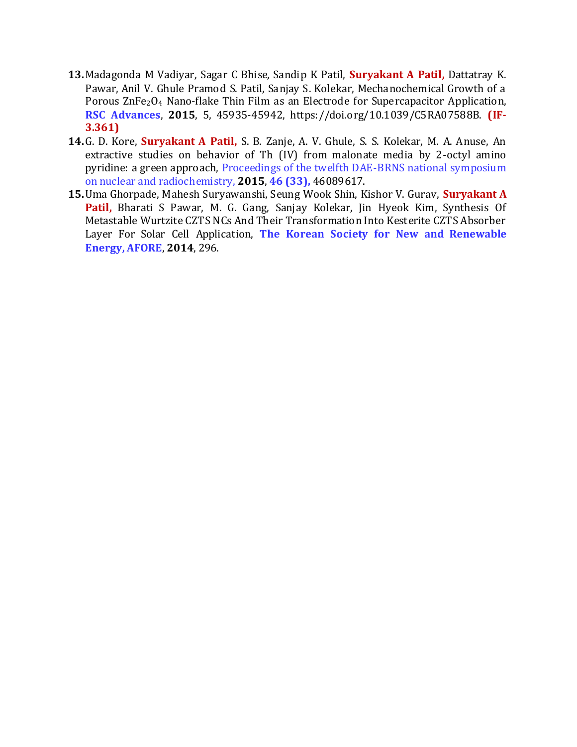- **13.**Madagonda M Vadiyar, Sagar C Bhise, Sandip K Patil, **Suryakant A Patil,** Dattatray K. Pawar, Anil V. Ghule Pramod S. Patil, Sanjay S. Kolekar, Mechanochemical Growth of a Porous ZnFe2O<sup>4</sup> Nano-flake Thin Film as an Electrode for Supercapacitor Application, **RSC Advances**, **2015**, 5, 45935-45942, https://doi.org/10.1039/C5RA07588B. **(IF-3.361)**
- **14.**G. D. Kore, **Suryakant A Patil,** S. B. Zanje, A. V. Ghule, S. S. Kolekar, M. A. Anuse, An extractive studies on behavior of Th (IV) from malonate media by 2-octyl amino pyridine: a green approach, Proceedings of the twelfth DAE-BRNS national symposium on nuclear and radiochemistry, **2015**, **46 (33),** 46089617.
- **15.**Uma Ghorpade, Mahesh Suryawanshi, Seung Wook Shin, Kishor V. Gurav, **Suryakant A Patil,** Bharati S Pawar, M. G. Gang, Sanjay Kolekar, Jin Hyeok Kim, Synthesis Of Metastable Wurtzite CZTS NCs And Their Transformation Into Kesterite CZTS Absorber Layer For Solar Cell Application, **The Korean Society for New and Renewable Energy, AFORE**, **2014**, 296.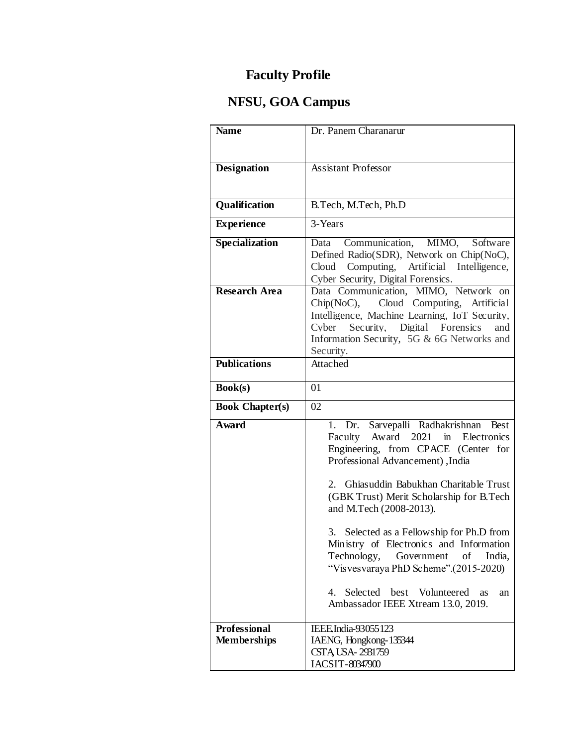# **NFSU, GOA Campus**

| <b>Name</b>                               | Dr. Panem Charanarur                                                       |
|-------------------------------------------|----------------------------------------------------------------------------|
|                                           |                                                                            |
| <b>Designation</b>                        | <b>Assistant Professor</b>                                                 |
|                                           |                                                                            |
|                                           |                                                                            |
| Qualification                             | B.Tech, M.Tech, Ph.D                                                       |
| <b>Experience</b>                         | 3-Years                                                                    |
| <b>Specialization</b>                     | Communication, MIMO, Software<br>Data                                      |
|                                           | Defined Radio(SDR), Network on Chip(NoC),                                  |
|                                           | Cloud Computing, Artificial Intelligence,                                  |
| <b>Research Area</b>                      | Cyber Security, Digital Forensics.<br>Data Communication, MIMO, Network on |
|                                           | Chip(NoC), Cloud Computing, Artificial                                     |
|                                           | Intelligence, Machine Learning, IoT Security,                              |
|                                           | Security, Digital Forensics<br>Cyber<br>and                                |
|                                           | Information Security, 5G & 6G Networks and<br>Security.                    |
| <b>Publications</b>                       | Attached                                                                   |
|                                           |                                                                            |
| <b>Book(s)</b>                            | 01                                                                         |
| <b>Book Chapter(s)</b>                    | 02                                                                         |
| <b>Award</b>                              | 1. Dr. Sarvepalli Radhakrishnan Best                                       |
|                                           | Faculty Award 2021 in Electronics<br>Engineering, from CPACE (Center for   |
|                                           | Professional Advancement), India                                           |
|                                           |                                                                            |
|                                           | 2. Ghiasuddin Babukhan Charitable Trust                                    |
|                                           | (GBK Trust) Merit Scholarship for B.Tech<br>and M.Tech (2008-2013).        |
|                                           |                                                                            |
|                                           | 3. Selected as a Fellowship for Ph.D from                                  |
|                                           | Ministry of Electronics and Information                                    |
|                                           | Technology, Government of<br>India,                                        |
|                                           | "Visvesvaraya PhD Scheme".(2015-2020)                                      |
|                                           | 4. Selected best Volunteered<br>as<br>an                                   |
|                                           | Ambassador IEEE Xtream 13.0, 2019.                                         |
|                                           |                                                                            |
| <b>Professional</b><br><b>Memberships</b> | IEEE.India-93055123<br>IAENG, Hongkong-135344                              |
|                                           | CSTA USA-2931759                                                           |
|                                           | IACSIT-80347900                                                            |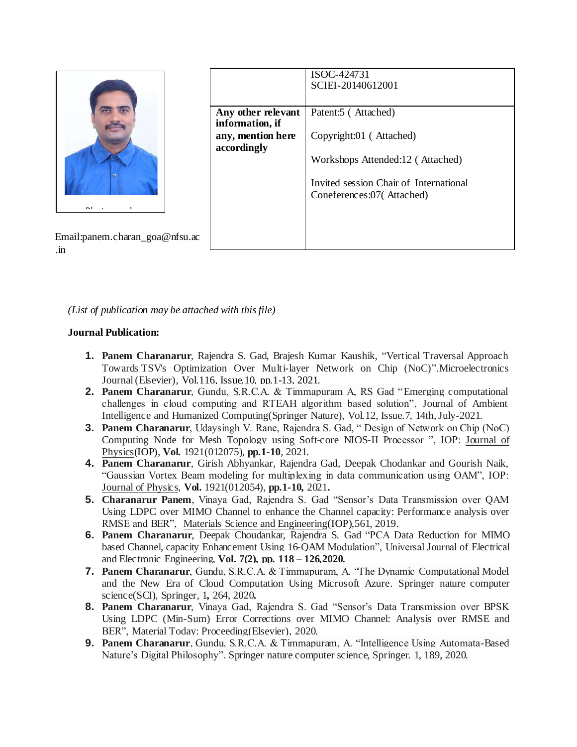

|                                       | ISOC-424731<br>SCIEI-20140612001                                    |
|---------------------------------------|---------------------------------------------------------------------|
|                                       |                                                                     |
| Any other relevant<br>information, if | Patent:5 (Attached)                                                 |
| any, mention here<br>accordingly      | Copyright:01 (Attached)                                             |
|                                       | Workshops Attended:12 (Attached)                                    |
|                                       | Invited session Chair of International<br>Coneferences:07(Attached) |
|                                       |                                                                     |
|                                       |                                                                     |
|                                       |                                                                     |

Email:panem.charan\_goa@nfsu.ac .in

*(List of publication may be attached with this file)*

### **Journal Publication:**

- **1. Panem Charanarur**, Rajendra S. Gad, Brajesh Kumar Kaushik, "Vertical Traversal Approach Towards TSV's Optimization Over Multi-layer Network on Chip (NoC)".Microelectronics Journal (Elsevier), Vol.116, Issue.10, pp.1-13, 2021.
- **2. Panem Charanarur**, Gundu, S.R.C.A. & Timmapuram A, RS Gad "Emerging computational challenges in cloud computing and RTEAH algorithm based solution". Journal of Ambient Intelligence and Humanized Computing(Springer Nature), Vol.12, Issue.7, 14th, July-2021.
- **3. Panem Charanarur**, Udaysingh V. Rane, Rajendra S. Gad, " Design of Network on Chip (NoC) Computing Node for Mesh Topology using Soft-core NIOS-II Processor ", IOP: [Journal](https://iopscience.iop.org/journal/1742-6596) of [Physics\(](https://iopscience.iop.org/journal/1742-6596)IOP), **Vol.** 1921(012075), **pp.1-10**, 2021.
- **4. Panem Charanarur**, Girish Abhyankar, Rajendra Gad, Deepak Chodankar and Gourish Naik, "Gaussian Vortex Beam modeling for multiplexing in data communication using OAM", IOP: Journal of [Physics,](https://iopscience.iop.org/journal/1742-6596) **Vol.** 1921(012054), **pp.1-10,** 2021**.**
- **5. Charanarur Panem**, Vinaya Gad, Rajendra S. Gad "Sensor's Data Transmission over QAM Using LDPC over MIMO Channel to enhance the Channel capacity: Performance analysis over RMSE and BER", Materials Science and [Engineering\(](http://iopscience.iop.org/journal/1757-899X)IOP),561, 2019.
- **6. Panem Charanarur**, Deepak Choudankar, Rajendra S. Gad "PCA Data Reduction for MIMO based Channel, capacity Enhancement Using 16-QAM Modulation", Universal Journal of Electrical and Electronic Engineering, **Vol. 7(2), pp. 118 – 126,2020.**
- **7. Panem Charanarur**, Gundu, S.R.C.A. & Timmapuram, A. "The Dynamic Computational Model and the New Era of Cloud Computation Using Microsoft Azure. Springer nature computer science(SCI), Springer, 1**,** 264, 2020**.**
- **8. Panem Charanarur**, Vinaya Gad, Rajendra S. Gad "Sensor's Data Transmission over BPSK Using LDPC (Min-Sum) Error Corrections over MIMO Channel: Analysis over RMSE and BER", Material Today: Proceeding(Elsevier), 2020.
- **9. Panem Charanarur**, Gundu, S.R.C.A. & Timmapuram, A. "Intelligence Using Automata-Based Nature's Digital Philosophy". Springer nature computer science, Springer. 1, 189, 2020.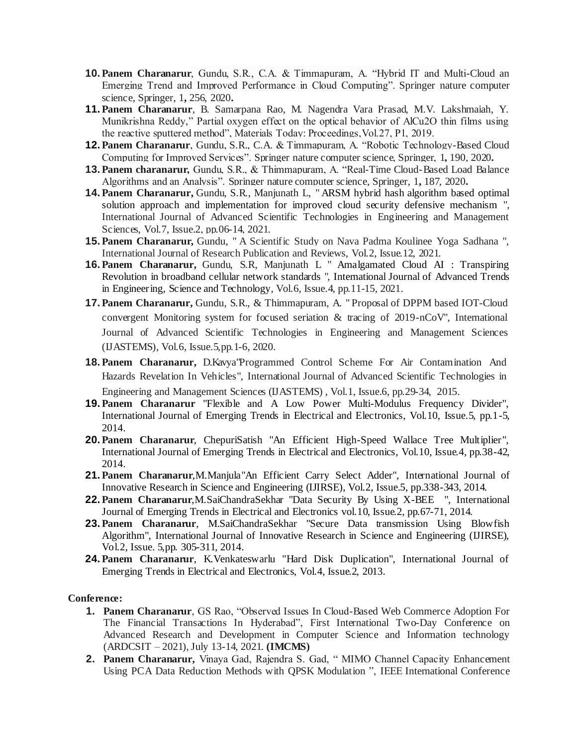- **10. Panem Charanarur**, Gundu, S.R., C.A. & Timmapuram, A. "Hybrid IT and Multi-Cloud an Emerging Trend and Improved Performance in Cloud Computing". Springer nature computer science, Springer, 1**,** 256, 2020**.**
- **11. Panem Charanarur**, B. Samarpana Rao, M. Nagendra Vara Prasad, M.V. Lakshmaiah, Y. Munikrishna Reddy," Partial oxygen effect on the optical behavior of AlCu2O thin films using the reactive sputtered method", Materials Today: Proceedings,Vol.27, P1, 2019.
- **12. Panem Charanarur**, Gundu, S.R., C.A. & Timmapuram, A. "Robotic Technology-Based Cloud Computing for Improved Services". Springer nature computer science, Springer, 1**,** 190, 2020**.**
- **13. Panem charanarur,** Gundu, S.R., & Thimmapuram, A. "Real-Time Cloud-Based Load Balance Algorithms and an Analysis". Springer nature computer science, Springer, 1**,** 187, 2020**.**
- **14. Panem Charanarur,** Gundu, S.R., Manjunath L, " ARSM hybrid hash algorithm based optimal solution approach and implementation for improved cloud security defensive mechanism ", International Journal of Advanced Scientific Technologies in Engineering and Management Sciences, Vol.7, Issue.2, pp.06-14, 2021.
- **15. Panem Charanarur,** Gundu, " A Scientific Study on Nava Padma Koulinee Yoga Sadhana ", International Journal of Research Publication and Reviews, Vol.2, Issue.12, 2021.
- **16. Panem Charanarur,** Gundu, S.R, Manjunath L " Amalgamated Cloud AI : Transpiring Revolution in broadband cellular network standards ", International Journal of Advanced Trends in Engineering, Science and Technology, Vol.6, Issue.4, pp.11-15, 2021.
- **17. Panem Charanarur,** Gundu, S.R., & Thimmapuram, A. " Proposal of DPPM based IOT-Cloud convergent Monitoring system for focused seriation & tracing of 2019-nCoV", International Journal of Advanced Scientific Technologies in Engineering and Management Sciences (IJASTEMS), Vol.6, Issue.5,pp.1-6, 2020.
- **18. Panem Charanarur,** D.Kavya"Programmed Control Scheme For Air Contamination And Hazards Revelation In Vehicles", International Journal of Advanced Scientific Technologies in Engineering and Management Sciences (IJASTEMS) , Vol.1, Issue.6, pp.29-34, 2015.
- **19. Panem Charanarur** "Flexible and A Low Power Multi-Modulus Frequency Divider", International Journal of Emerging Trends in Electrical and Electronics, Vol.10, Issue.5, pp.1-5, 2014.
- **20. Panem Charanarur**, ChepuriSatish "An Efficient High-Speed Wallace Tree Multiplier", International Journal of Emerging Trends in Electrical and Electronics, Vol.10, Issue.4, pp.38-42, 2014.
- **21. Panem Charanarur**,M.Manjula"An Efficient Carry Select Adder", International Journal of Innovative Research in Science and Engineering (IJIRSE), Vol.2, Issue.5, pp.338-343, 2014.
- **22. Panem Charanarur**,M.SaiChandraSekhar "Data Security By Using X-BEE ", International Journal of Emerging Trends in Electrical and Electronics vol.10, Issue.2, pp.67-71, 2014.
- **23. Panem Charanarur**, M.SaiChandraSekhar "Secure Data transmission Using Blowfish Algorithm", International Journal of Innovative Research in Science and Engineering (IJIRSE), Vol.2, Issue. 5,pp. 305-311, 2014.
- **24. Panem Charanarur**, K.Venkateswarlu "Hard Disk Duplication", International Journal of Emerging Trends in Electrical and Electronics, Vol.4, Issue.2, 2013.

#### **Conference:**

- **1. Panem Charanarur**, GS Rao, "Observed Issues In Cloud-Based Web Commerce Adoption For The Financial Transactions In Hyderabad", First International Two-Day Conference on Advanced Research and Development in Computer Science and Information technology (ARDCSIT – 2021), July 13-14, 2021. **(IMCMS)**
- **2. Panem Charanarur,** Vinaya Gad, Rajendra S. Gad, " MIMO Channel Capacity Enhancement Using PCA Data Reduction Methods with QPSK Modulation ", IEEE International Conference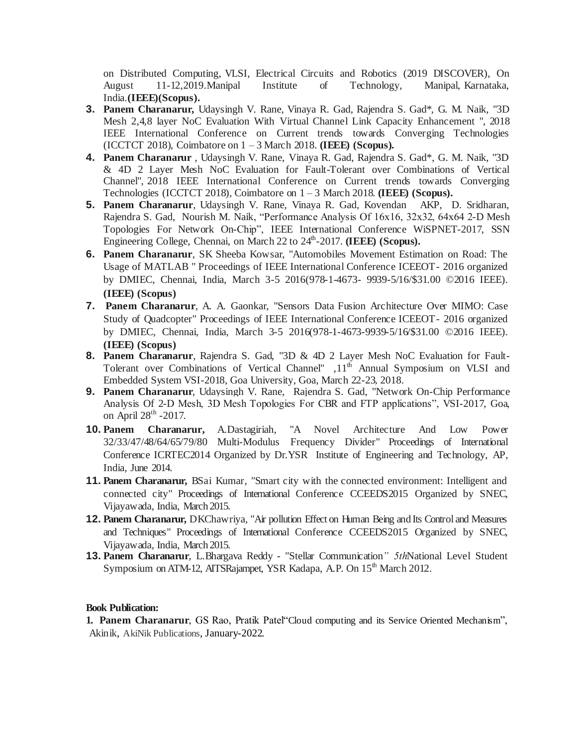on Distributed Computing, VLSI, Electrical Circuits and Robotics (2019 DISCOVER), On August 11-12,2019.Manipal Institute of Technology, Manipal, Karnataka, India.**(IEEE)(Scopus).**

- **3. Panem Charanarur,** Udaysingh V. Rane, Vinaya R. Gad, Rajendra S. Gad\*, G. M. Naik, "3D Mesh 2,4,8 layer NoC Evaluation With Virtual Channel Link Capacity Enhancement ", 2018 IEEE International Conference on Current trends towards Converging Technologies (ICCTCT 2018), Coimbatore on 1 – 3 March 2018. **(IEEE) (Scopus).**
- **4. Panem Charanarur** , Udaysingh V. Rane, Vinaya R. Gad, Rajendra S. Gad\*, G. M. Naik, "3D & 4D 2 Layer Mesh NoC Evaluation for Fault-Tolerant over Combinations of Vertical Channel", 2018 IEEE International Conference on Current trends towards Converging Technologies (ICCTCT 2018), Coimbatore on 1 – 3 March 2018. **(IEEE) (Scopus).**
- **5. Panem Charanarur**, Udaysingh V. Rane, Vinaya R. Gad, Kovendan AKP, D. Sridharan, Rajendra S. Gad, Nourish M. Naik, "Performance Analysis Of 16x16, 32x32, 64x64 2-D Mesh Topologies For Network On-Chip", IEEE International Conference WiSPNET-2017, SSN Engineering College, Chennai, on March 22 to 24<sup>th</sup>-2017. (IEEE) (Scopus).
- **6. Panem Charanarur**, SK Sheeba Kowsar, "Automobiles Movement Estimation on Road: The Usage of MATLAB " Proceedings of IEEE International Conference ICEEOT- 2016 organized by DMIEC, Chennai, India, March 3-5 2016(978-1-4673- 9939-5/16/\$31.00 ©2016 IEEE). **(IEEE) (Scopus)**
- **7. Panem Charanarur**, A. A. Gaonkar, "Sensors Data Fusion Architecture Over MIMO: Case Study of Quadcopter" Proceedings of IEEE International Conference ICEEOT- 2016 organized by DMIEC, Chennai, India, March 3-5 2016(978-1-4673-9939-5/16/\$31.00 ©2016 IEEE). **(IEEE) (Scopus)**
- **8. Panem Charanarur**, Rajendra S. Gad, "3D & 4D 2 Layer Mesh NoC Evaluation for Fault-Tolerant over Combinations of Vertical Channel"  $,11<sup>th</sup>$  Annual Symposium on VLSI and Embedded System VSI-2018, Goa University, Goa, March 22-23, 2018.
- **9. Panem Charanarur**, Udaysingh V. Rane, Rajendra S. Gad, "Network On-Chip Performance Analysis Of 2-D Mesh, 3D Mesh Topologies For CBR and FTP applications", VSI-2017, Goa, on April 28<sup>th</sup> -2017.
- **10. Panem Charanarur,** A.Dastagiriah*,* "A Novel Architecture And Low Power 32/33/47/48/64/65/79/80 Multi-Modulus Frequency Divider" Proceedings of International Conference ICRTEC2014 Organized by Dr.YSR Institute of Engineering and Technology, AP, India, June 2014.
- **11. Panem Charanarur,** BSai Kumar*, "*Smart city with the connected environment: Intelligent and connected city" Proceedings of International Conference CCEEDS2015 Organized by SNEC, Vijayawada, India, March 2015.
- **12. Panem Charanarur,** DKChawriya*, "*Air pollution Effect on Human Being and Its Control and Measures and Techniques" Proceedings of International Conference CCEEDS2015 Organized by SNEC, Vijayawada, India, March 2015.
- **13. Panem Charanarur**, L.Bhargava Reddy *- "*Stellar Communication*" 5th*National Level Student Symposium on ATM-12, AITSRajampet, YSR Kadapa, A.P. On 15<sup>th</sup> March 2012.

#### **Book Publication:**

**1. Panem Charanarur**, GS Rao, Pratik Patel"Cloud computing and its Service Oriented Mechanism", Akinik, AkiNik Publications, January-2022.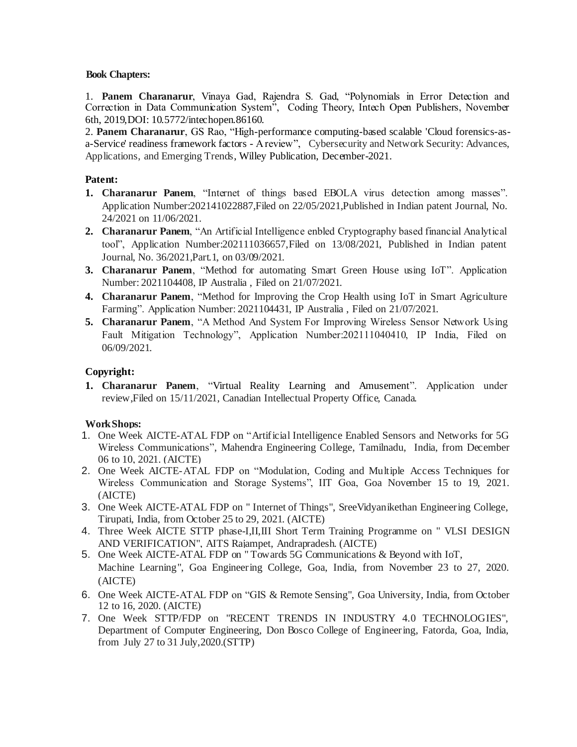#### **Book Chapters:**

1. **Panem Charanarur**, Vinaya Gad, Rajendra S. Gad, "Polynomials in Error Detection and Correction in Data Communication System", Coding Theory, Intech Open Publishers, November 6th, 2019,DOI: 10.5772/intechopen.86160.

2. **Panem Charanarur**, GS Rao, "High-performance computing-based scalable 'Cloud forensics-asa-Service' readiness framework factors - A review", Cybersecurity and Network Security: Advances, Applications, and Emerging Trends, Willey Publication, December-2021.

### **Patent:**

- **1. Charanarur Panem**, "Internet of things based EBOLA virus detection among masses". Application Number:202141022887,Filed on 22/05/2021,Published in Indian patent Journal, No. 24/2021 on 11/06/2021.
- **2. Charanarur Panem**, "An Artificial Intelligence enbled Cryptography based financial Analytical tool", Application Number:202111036657,Filed on 13/08/2021, Published in Indian patent Journal, No. 36/2021,Part.1, on 03/09/2021.
- **3. Charanarur Panem**, "Method for automating Smart Green House using IoT". Application Number: 2021104408, IP Australia , Filed on 21/07/2021.
- **4. Charanarur Panem**, "Method for Improving the Crop Health using IoT in Smart Agriculture Farming". Application Number: 2021104431, IP Australia , Filed on 21/07/2021.
- **5. Charanarur Panem**, "A Method And System For Improving Wireless Sensor Network Using Fault Mitigation Technology", Application Number:202111040410, IP India, Filed on 06/09/2021.

### **Copyright:**

**1. Charanarur Panem**, "Virtual Reality Learning and Amusement". Application under review,Filed on 15/11/2021, Canadian Intellectual Property Office, Canada.

#### **WorkShops:**

- 1. One Week AICTE-ATAL FDP on "Artificial Intelligence Enabled Sensors and Networks for 5G Wireless Communications", Mahendra Engineering College, Tamilnadu, India, from December 06 to 10, 2021. (AICTE)
- 2. One Week AICTE-ATAL FDP on "Modulation, Coding and Multiple Access Techniques for Wireless Communication and Storage Systems", IIT Goa, Goa November 15 to 19, 2021. (AICTE)
- 3. One Week AICTE-ATAL FDP on " Internet of Things", SreeVidyanikethan Engineering College, Tirupati, India, from October 25 to 29, 2021. (AICTE)
- 4. Three Week AICTE STTP phase-I,II,III Short Term Training Programme on " VLSI DESIGN AND VERIFICATION", AITS Rajampet, Andrapradesh. (AICTE)
- 5. One Week AICTE-ATAL FDP on " Towards 5G Communications & Beyond with IoT, Machine Learning", Goa Engineering College, Goa, India, from November 23 to 27, 2020. (AICTE)
- 6. One Week AICTE-ATAL FDP on "GIS & Remote Sensing", Goa University, India, from October 12 to 16, 2020. (AICTE)
- 7. One Week STTP/FDP on "RECENT TRENDS IN INDUSTRY 4.0 TECHNOLOGIES", Department of Computer Engineering, Don Bosco College of Engineering, Fatorda, Goa, India, from July 27 to 31 July,2020.(STTP)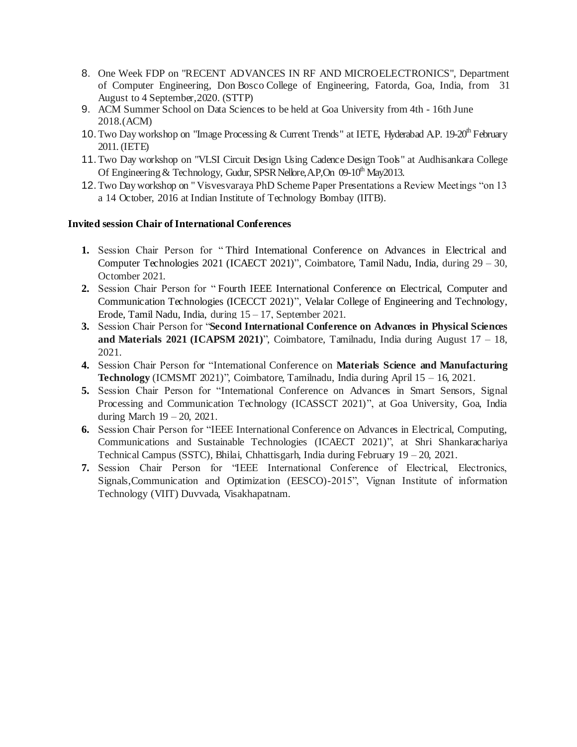- 8. One Week FDP on "RECENT ADVANCES IN RF AND MICROELECTRONICS", Department of Computer Engineering, Don Bosco College of Engineering, Fatorda, Goa, India, from 31 August to 4 September,2020. (STTP)
- 9. ACM Summer School on Data Sciences to be held at Goa University from 4th 16th June 2018.(ACM)
- 10. Two Day workshop on "Image Processing & Current Trends" at IETE, Hyderabad A.P. 19-20<sup>th</sup> February 2011. (IETE)
- 11.Two Day workshop on "VLSI Circuit Design Using Cadence Design Tools" at Audhisankara College Of Engineering & Technology, Gudur, SPSR Nellore, A.P., On  $09-10<sup>th</sup>$  May2013.
- 12.Two Day workshop on " Visvesvaraya PhD Scheme Paper Presentations a Review Meetings "on 13 a 14 October, 2016 at Indian Institute of Technology Bombay (IITB).

#### **Invited session Chair of International Conferences**

- **1.** Session Chair Person for " Third International Conference on Advances in Electrical and Computer Technologies 2021 (ICAECT 2021)", Coimbatore, Tamil Nadu, India, during 29 – 30, Octomber 2021.
- **2.** Session Chair Person for " Fourth IEEE International Conference on Electrical, Computer and Communication Technologies (ICECCT 2021)", Velalar College of Engineering and Technology, Erode, Tamil Nadu, India, during 15 – 17, September 2021.
- **3.** Session Chair Person for "**Second International Conference on Advances in Physical Sciences and Materials 2021 (ICAPSM 2021)**", Coimbatore, Tamilnadu, India during August 17 – 18, 2021.
- **4.** Session Chair Person for "International Conference on **Materials Science and Manufacturing Technology** (ICMSMT 2021)", Coimbatore, Tamilnadu, India during April 15 – 16, 2021.
- **5.** Session Chair Person for "International Conference on Advances in Smart Sensors, Signal Processing and Communication Technology (ICASSCT 2021)", at Goa University, Goa, India during March 19 – 20, 2021.
- **6.** Session Chair Person for "IEEE International Conference on Advances in Electrical, Computing, Communications and Sustainable Technologies (ICAECT 2021)", at Shri Shankarachariya Technical Campus (SSTC), Bhilai, Chhattisgarh, India during February 19 – 20, 2021.
- **7.** Session Chair Person for "IEEE International Conference of Electrical, Electronics, Signals,Communication and Optimization (EESCO)-2015", Vignan Institute of information Technology (VIIT) Duvvada, Visakhapatnam.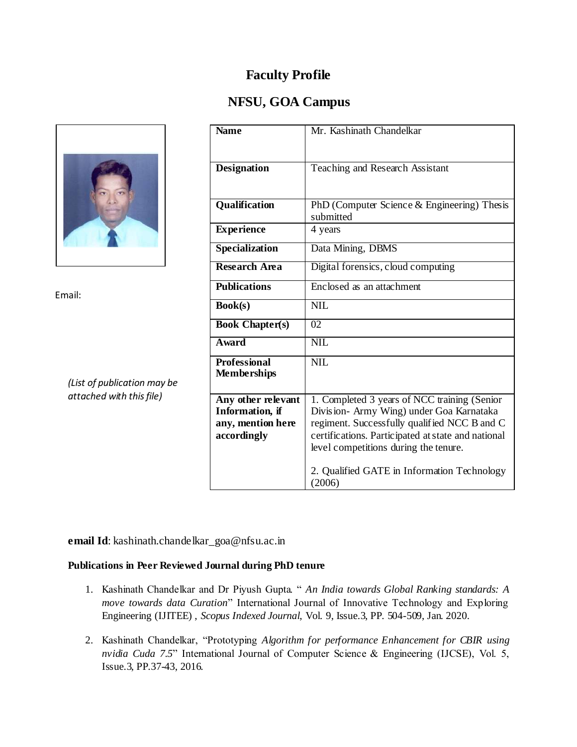## **NFSU, GOA Campus**



Email:

*(List of publication may be attached with this file)*

| <b>Name</b>             | Mr. Kashinath Chandelkar                           |
|-------------------------|----------------------------------------------------|
|                         |                                                    |
|                         |                                                    |
| <b>Designation</b>      | Teaching and Research Assistant                    |
|                         |                                                    |
|                         |                                                    |
| Qualification           | PhD (Computer Science & Engineering) Thesis        |
|                         | submitted                                          |
| <b>Experience</b>       | 4 years                                            |
|                         |                                                    |
| Specialization          | Data Mining, DBMS                                  |
| <b>Research Area</b>    | Digital forensics, cloud computing                 |
|                         |                                                    |
| <b>Publications</b>     | Enclosed as an attachment                          |
| Book(s)                 | <b>NIL</b>                                         |
|                         |                                                    |
| <b>Book Chapter(s)</b>  | 02                                                 |
| <b>Award</b>            | <b>NIL</b>                                         |
| <b>Professional</b>     | <b>NIL</b>                                         |
| <b>Memberships</b>      |                                                    |
|                         |                                                    |
| Any other relevant      | 1. Completed 3 years of NCC training (Senior       |
| <b>Information</b> , if | Division- Army Wing) under Goa Karnataka           |
| any, mention here       | regiment. Successfully qualified NCC B and C       |
| accordingly             | certifications. Participated at state and national |
|                         | level competitions during the tenure.              |
|                         |                                                    |
|                         | 2. Qualified GATE in Information Technology        |
|                         | (2006)                                             |
|                         |                                                    |

**email Id**: kashinath.chandelkar\_goa@nfsu.ac.in

### **Publications in Peer Reviewed Journal during PhD tenure**

- 1. Kashinath Chandelkar and Dr Piyush Gupta. " *An India towards Global Ranking standards: A move towards data Curation*" International Journal of Innovative Technology and Exploring Engineering (IJITEE) , *Scopus Indexed Journal*, Vol. 9, Issue.3, PP. 504-509, Jan. 2020.
- 2. Kashinath Chandelkar, "Prototyping *Algorithm for performance Enhancement for CBIR using nvidia Cuda 7.5*" International Journal of Computer Science & Engineering (IJCSE), Vol. 5, Issue.3, PP.37-43, 2016.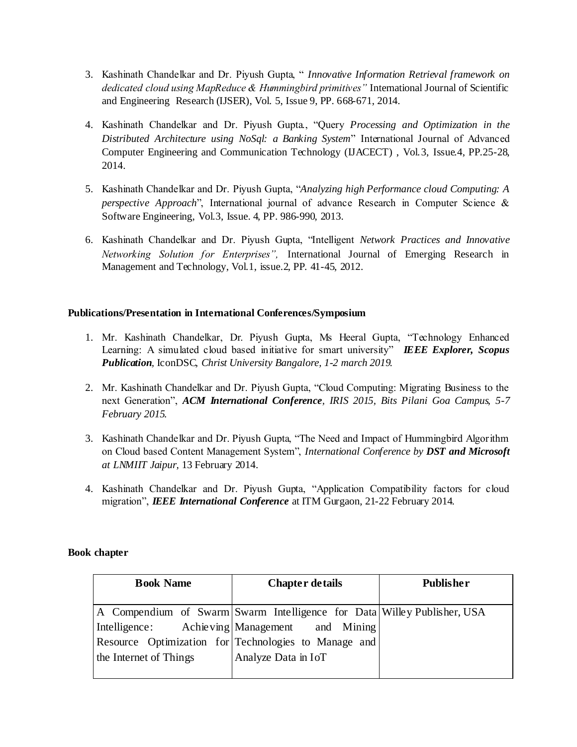- 3. Kashinath Chandelkar and Dr. Piyush Gupta, " *Innovative Information Retrieval framework on dedicated cloud using MapReduce & Hummingbird primitives"* International Journal of Scientific and Engineering Research (IJSER), Vol. 5, Issue 9, PP. 668-671, 2014.
- 4. Kashinath Chandelkar and Dr. Piyush Gupta., "Query *Processing and Optimization in the Distributed Architecture using NoSql: a Banking System*" International Journal of Advanced Computer Engineering and Communication Technology (IJACECT) , Vol.3, Issue.4, PP.25-28, 2014.
- 5. Kashinath Chandelkar and Dr. Piyush Gupta, "*Analyzing high Performance cloud Computing: A perspective Approach*", International journal of advance Research in Computer Science & Software Engineering, Vol.3, Issue. 4, PP. 986-990, 2013.
- 6. Kashinath Chandelkar and Dr. Piyush Gupta, "Intelligent *Network Practices and Innovative Networking Solution for Enterprises",* International Journal of Emerging Research in Management and Technology, Vol.1, issue.2, PP. 41-45, 2012.

### **Publications/Presentation in International Conferences/Symposium**

- 1. Mr. Kashinath Chandelkar, Dr. Piyush Gupta, Ms Heeral Gupta, "Technology Enhanced Learning: A simulated cloud based initiative for smart university" *IEEE Explorer, Scopus Publication,* IconDSC*, Christ University Bangalore, 1-2 march 2019.*
- 2. Mr. Kashinath Chandelkar and Dr. Piyush Gupta, "Cloud Computing: Migrating Business to the next Generation", *ACM International Conference, IRIS 2015, Bits Pilani Goa Campus, 5-7 February 2015.*
- 3. Kashinath Chandelkar and Dr. Piyush Gupta, "The Need and Impact of Hummingbird Algorithm on Cloud based Content Management System", *International Conference by DST and Microsoft at LNMIIT Jaipur,* 13 February 2014.
- 4. Kashinath Chandelkar and Dr. Piyush Gupta, "Application Compatibility factors for cloud migration", *IEEE International Conference* at ITM Gurgaon, 21-22 February 2014.

### **Book chapter**

| <b>Book Name</b>       | <b>Chapter details</b>                                                  | <b>Publisher</b> |  |
|------------------------|-------------------------------------------------------------------------|------------------|--|
|                        |                                                                         |                  |  |
|                        | A Compendium of Swarm Swarm Intelligence for Data Willey Publisher, USA |                  |  |
|                        | Intelligence: Achieving Management and Mining                           |                  |  |
|                        | Resource Optimization for Technologies to Manage and                    |                  |  |
| the Internet of Things | Analyze Data in IoT                                                     |                  |  |
|                        |                                                                         |                  |  |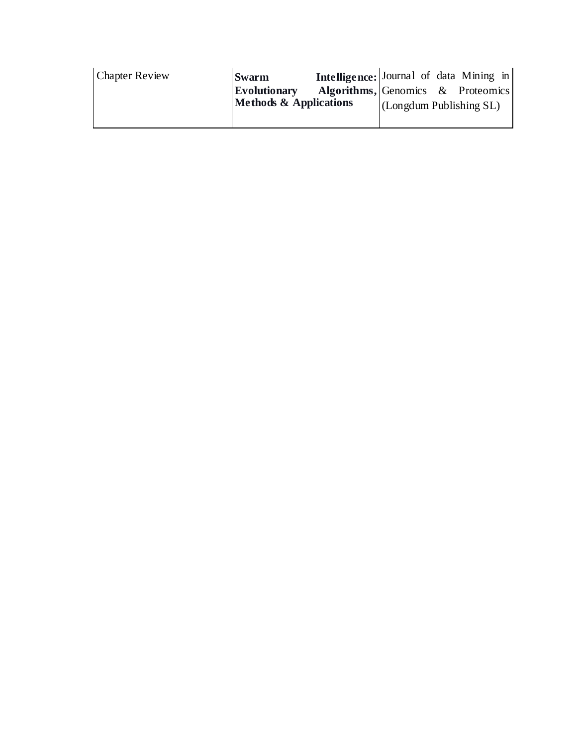| <b>Chapter Review</b> | <b>Swarm</b>                      | Intelligence: Journal of data Mining in |                                |  |
|-----------------------|-----------------------------------|-----------------------------------------|--------------------------------|--|
|                       | <b>Evolutionary</b>               | Algorithms, Genomics & Proteomics       |                                |  |
|                       | <b>Methods &amp; Applications</b> |                                         | $\sim$ (Longdum Publishing SL) |  |
|                       |                                   |                                         |                                |  |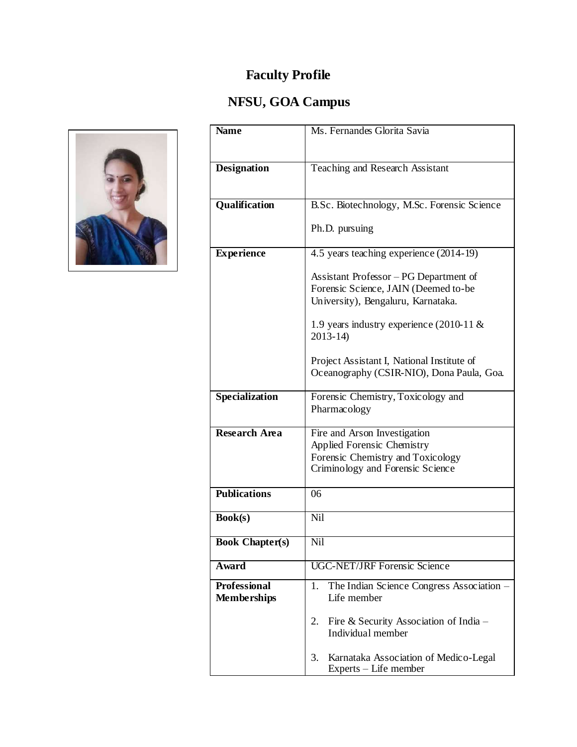# **NFSU, GOA Campus**



| <b>Name</b>                               | Ms. Fernandes Glorita Savia                                                                                                                                         |  |  |
|-------------------------------------------|---------------------------------------------------------------------------------------------------------------------------------------------------------------------|--|--|
| <b>Designation</b>                        | Teaching and Research Assistant                                                                                                                                     |  |  |
| Qualification                             | B.Sc. Biotechnology, M.Sc. Forensic Science                                                                                                                         |  |  |
|                                           | Ph.D. pursuing                                                                                                                                                      |  |  |
| <b>Experience</b>                         | 4.5 years teaching experience (2014-19)                                                                                                                             |  |  |
|                                           | Assistant Professor - PG Department of<br>Forensic Science, JAIN (Deemed to-be<br>University), Bengaluru, Karnataka.<br>1.9 years industry experience $(2010-11 \&$ |  |  |
|                                           | $2013 - 14$                                                                                                                                                         |  |  |
|                                           | Project Assistant I, National Institute of<br>Oceanography (CSIR-NIO), Dona Paula, Goa.                                                                             |  |  |
| Specialization                            | Forensic Chemistry, Toxicology and<br>Pharmacology                                                                                                                  |  |  |
| <b>Research Area</b>                      | Fire and Arson Investigation<br>Applied Forensic Chemistry<br>Forensic Chemistry and Toxicology<br>Criminology and Forensic Science                                 |  |  |
| <b>Publications</b>                       | 06                                                                                                                                                                  |  |  |
| <b>Book(s)</b>                            | Nil                                                                                                                                                                 |  |  |
| <b>Book Chapter(s)</b>                    | Nil                                                                                                                                                                 |  |  |
| Award                                     | <b>UGC-NET/JRF Forensic Science</b>                                                                                                                                 |  |  |
| <b>Professional</b><br><b>Memberships</b> | The Indian Science Congress Association -<br>1.<br>Life member                                                                                                      |  |  |
|                                           | Fire & Security Association of India –<br>2.<br>Individual member                                                                                                   |  |  |
|                                           | 3.<br>Karnataka Association of Medico-Legal<br>Experts – Life member                                                                                                |  |  |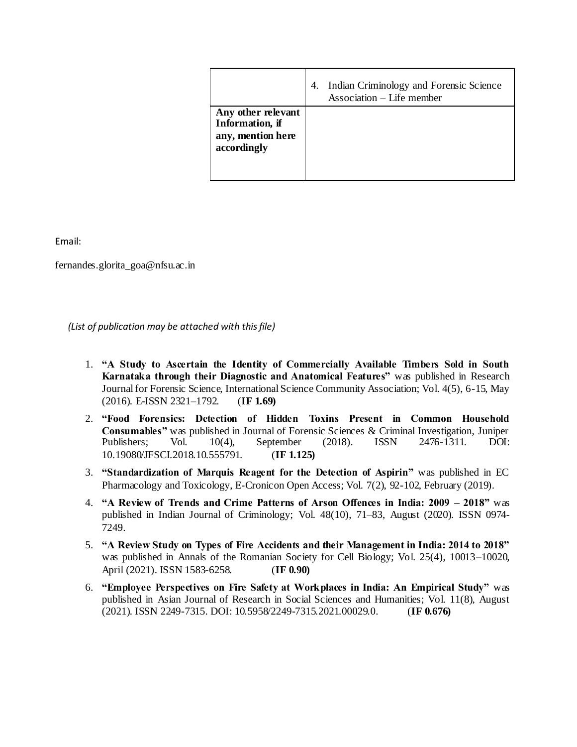|                                                                           | Indian Criminology and Forensic Science<br>4.<br>Association – Life member |
|---------------------------------------------------------------------------|----------------------------------------------------------------------------|
| Any other relevant<br>Information, if<br>any, mention here<br>accordingly |                                                                            |

Email:

fernandes.glorita\_goa@nfsu.ac.in

*(List of publication may be attached with this file)*

- 1. **"A Study to Ascertain the Identity of Commercially Available Timbers Sold in South Karnataka through their Diagnostic and Anatomical Features"** was published in Research Journal for Forensic Science, International Science Community Association; Vol. 4(5), 6-15, May (2016). E-ISSN 2321–1792. (**IF 1.69)**
- 2. **"Food Forensics: Detection of Hidden Toxins Present in Common Household Consumables"** was published in Journal of Forensic Sciences & Criminal Investigation, Juniper Publishers; Vol. 10(4), September (2018). ISSN 2476-1311. DOI: 10.19080/JFSCI.2018.10.555791. (**IF 1.125)**
- 3. **"Standardization of Marquis Reagent for the Detection of Aspirin"** was published in EC Pharmacology and Toxicology, E-Cronicon Open Access; Vol. 7(2), 92-102, February (2019).
- 4. **"A Review of Trends and Crime Patterns of Arson Offences in India: 2009 – 2018"** was published in Indian Journal of Criminology; Vol. 48(10), 71–83, August (2020). ISSN 0974- 7249.
- 5. **"A Review Study on Types of Fire Accidents and their Management in India: 2014 to 2018"**  was published in Annals of the Romanian Society for Cell Biology; Vol. 25(4), 10013–10020, April (2021). ISSN 1583-6258. (**IF 0.90)**
- 6. **"Employee Perspectives on Fire Safety at Workplaces in India: An Empirical Study"** was published in Asian Journal of Research in Social Sciences and Humanities; Vol. 11(8), August (2021). ISSN 2249-7315. DOI: 10.5958/2249-7315.2021.00029.0. (**IF 0.676)**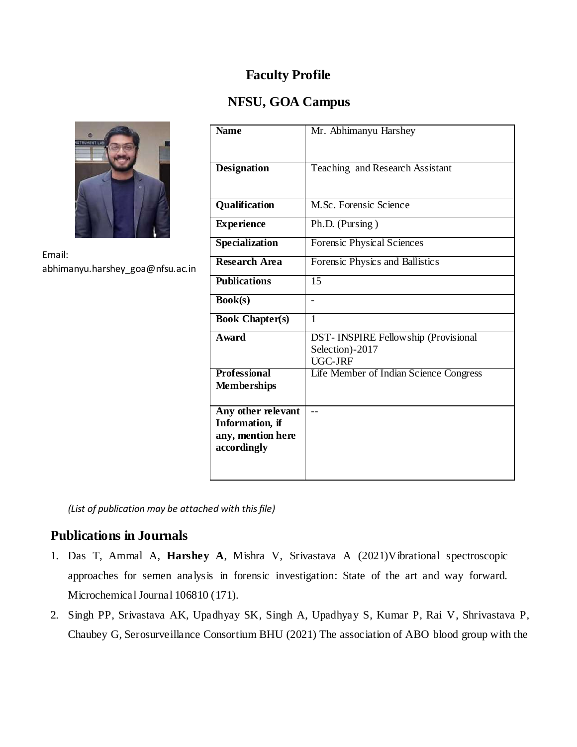## **NFSU, GOA Campus**



Email: abhimanyu.harshey\_goa@nfsu.ac.in

| <b>Name</b>                                                                       | Mr. Abhimanyu Harshey                                             |
|-----------------------------------------------------------------------------------|-------------------------------------------------------------------|
| <b>Designation</b>                                                                | Teaching and Research Assistant                                   |
| Qualification                                                                     | M.Sc. Forensic Science                                            |
| <b>Experience</b>                                                                 | Ph.D. (Pursing)                                                   |
| <b>Specialization</b>                                                             | Forensic Physical Sciences                                        |
| <b>Research Area</b>                                                              | Forensic Physics and Ballistics                                   |
| <b>Publications</b>                                                               | 15                                                                |
| <b>Book(s)</b>                                                                    |                                                                   |
| <b>Book Chapter(s)</b>                                                            | $\mathbf{1}$                                                      |
| <b>Award</b>                                                                      | DST-INSPIRE Fellowship (Provisional<br>Selection)-2017<br>UGC-JRF |
| <b>Professional</b><br><b>Memberships</b>                                         | Life Member of Indian Science Congress                            |
| Any other relevant<br><b>Information</b> , if<br>any, mention here<br>accordingly | $-$                                                               |

*(List of publication may be attached with this file)*

### **Publications in Journals**

- 1. Das T, Ammal A, **Harshey A**, Mishra V, Srivastava A (2021)Vibrational spectroscopic approaches for semen analysis in forensic investigation: State of the art and way forward. Microchemical Journal 106810 (171).
- 2. Singh PP, Srivastava AK, Upadhyay SK, Singh A, Upadhyay S, Kumar P, Rai V, Shrivastava P, Chaubey G, Serosurveillance Consortium BHU (2021) The association of ABO blood group with the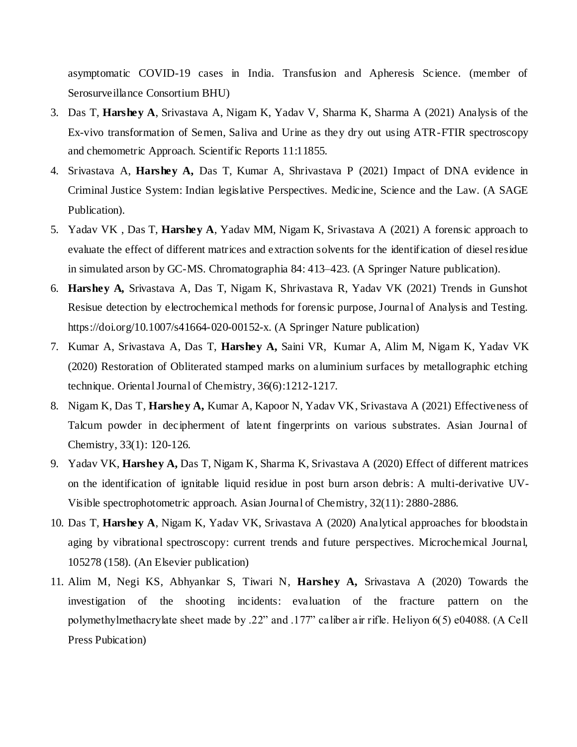asymptomatic COVID-19 cases in India. Transfusion and Apheresis Science. (member of Serosurveillance Consortium BHU)

- 3. Das T, **Harshey A**, Srivastava A, Nigam K, Yadav V, Sharma K, Sharma A (2021) Analysis of the Ex-vivo transformation of Semen, Saliva and Urine as they dry out using ATR-FTIR spectroscopy and chemometric Approach. Scientific Reports 11:11855.
- 4. Srivastava A, **Harshey A,** Das T, Kumar A, Shrivastava P (2021) Impact of DNA evidence in Criminal Justice System: Indian legislative Perspectives. Medicine, Science and the Law. (A SAGE Publication).
- 5. Yadav VK , Das T, **Harshey A**, Yadav MM, Nigam K, Srivastava A (2021) A forensic approach to evaluate the effect of different matrices and extraction solvents for the identification of diesel residue in simulated arson by GC-MS. Chromatographia 84: 413–423. (A Springer Nature publication).
- 6. **Harshey A,** Srivastava A, Das T, Nigam K, Shrivastava R, Yadav VK (2021) Trends in Gunshot Resisue detection by electrochemical methods for forensic purpose, Journal of Analysis and Testing. https://doi.org/10.1007/s41664-020-00152-x. (A Springer Nature publication)
- 7. Kumar A, Srivastava A, Das T, **Harshey A,** Saini VR, Kumar A, Alim M, Nigam K, Yadav VK (2020) Restoration of Obliterated stamped marks on aluminium surfaces by metallographic etching technique. Oriental Journal of Chemistry, 36(6):1212-1217.
- 8. Nigam K, Das T, **Harshey A,** Kumar A, Kapoor N, Yadav VK, Srivastava A (2021) Effectiveness of Talcum powder in decipherment of latent fingerprints on various substrates. Asian Journal of Chemistry, 33(1): 120-126.
- 9. Yadav VK, **Harshey A,** Das T, Nigam K, Sharma K, Srivastava A (2020) Effect of different matrices on the identification of ignitable liquid residue in post burn arson debris: A multi-derivative UV-Visible spectrophotometric approach. Asian Journal of Chemistry, 32(11): 2880-2886.
- 10. Das T, **Harshey A**, Nigam K, Yadav VK, Srivastava A (2020) Analytical approaches for bloodstain aging by vibrational spectroscopy: current trends and future perspectives. Microchemical Journal, 105278 (158). (An Elsevier publication)
- 11. Alim M, Negi KS, Abhyankar S, Tiwari N, **Harshey A,** Srivastava A (2020) Towards the investigation of the shooting incidents: evaluation of the fracture pattern on the polymethylmethacrylate sheet made by .22" and .177" caliber air rifle. Heliyon 6(5) e04088. (A Cell Press Pubication)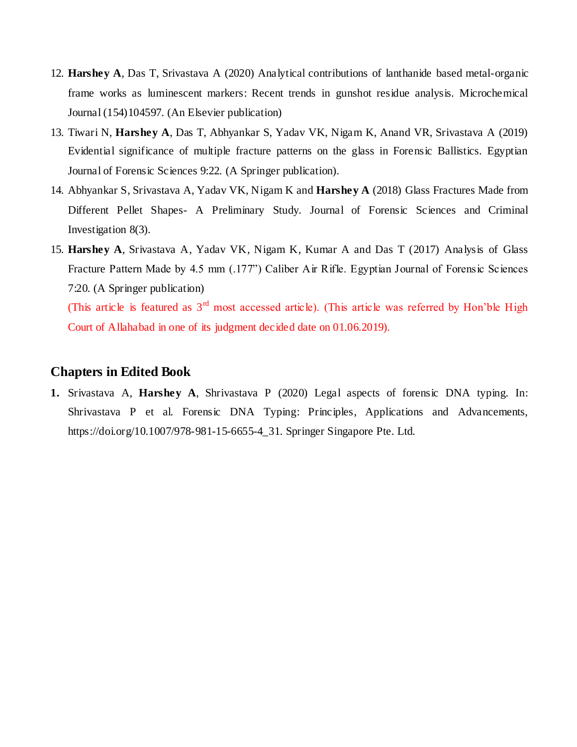- 12. **Harshey A**, Das T, Srivastava A (2020) Analytical contributions of lanthanide based metal-organic frame works as luminescent markers: Recent trends in gunshot residue analysis. Microchemical Journal (154)104597. (An Elsevier publication)
- 13. Tiwari N, **Harshey A**, Das T, Abhyankar S, Yadav VK, Nigam K, Anand VR, Srivastava A (2019) Evidential significance of multiple fracture patterns on the glass in Forensic Ballistics. Egyptian Journal of Forensic Sciences 9:22. (A Springer publication).
- 14. Abhyankar S, Srivastava A, Yadav VK, Nigam K and **Harshey A** (2018) Glass Fractures Made from Different Pellet Shapes- A Preliminary Study. Journal of Forensic Sciences and Criminal Investigation 8(3).
- 15. **Harshey A**, Srivastava A, Yadav VK, Nigam K, Kumar A and Das T (2017) Analysis of Glass Fracture Pattern Made by 4.5 mm (.177") Caliber Air Rifle. Egyptian Journal of Forensic Sciences 7:20. (A Springer publication) (This article is featured as  $3<sup>rd</sup>$  most accessed article). (This article was referred by Hon'ble High

Court of Allahabad in one of its judgment decided date on 01.06.2019).

### **Chapters in Edited Book**

**1.** Srivastava A, **Harshey A**, Shrivastava P (2020) Legal aspects of forensic DNA typing. In: Shrivastava P et al. Forensic DNA Typing: Principles, Applications and Advancements, https://doi.org/10.1007/978-981-15-6655-4\_31. Springer Singapore Pte. Ltd.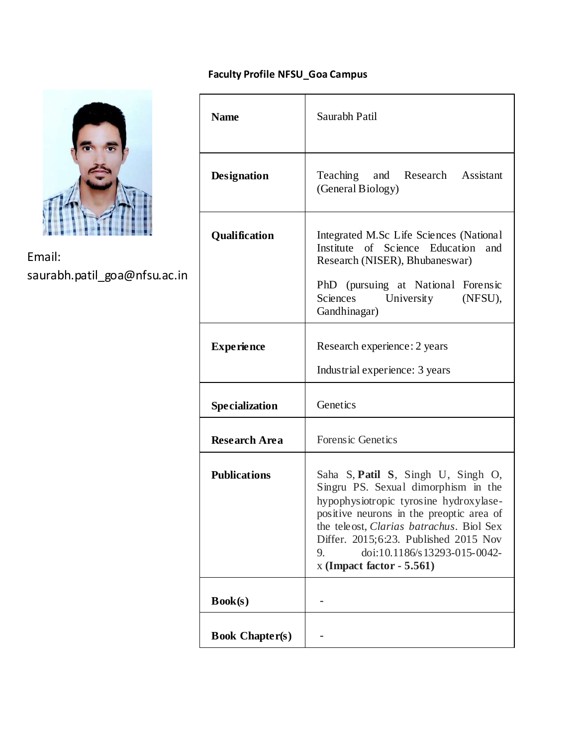## **Faculty Profile NFSU\_Goa Campus**



Email: saurabh.patil\_goa@nfsu.ac.in

| <b>Name</b>            | Saurabh Patil                                                                                                                                                                                                                                                                                                             |
|------------------------|---------------------------------------------------------------------------------------------------------------------------------------------------------------------------------------------------------------------------------------------------------------------------------------------------------------------------|
| <b>Designation</b>     | Teaching and Research Assistant<br>(General Biology)                                                                                                                                                                                                                                                                      |
| Qualification          | Integrated M.Sc Life Sciences (National<br>Institute of Science Education<br>and<br>Research (NISER), Bhubaneswar)<br>PhD (pursuing at National Forensic<br>University<br>Sciences<br>(NFSU),<br>Gandhinagar)                                                                                                             |
| <b>Experience</b>      | Research experience: 2 years<br>Industrial experience: 3 years                                                                                                                                                                                                                                                            |
| <b>Specialization</b>  | Genetics                                                                                                                                                                                                                                                                                                                  |
| <b>Research Area</b>   | Forensic Genetics                                                                                                                                                                                                                                                                                                         |
| <b>Publications</b>    | Saha S, Patil S, Singh U, Singh O,<br>Singru PS. Sexual dimorphism in the<br>hypophysiotropic tyrosine hydroxylase-<br>positive neurons in the preoptic area of<br>the teleost, Clarias batrachus. Biol Sex<br>Differ. 2015;6:23. Published 2015 Nov<br>doi:10.1186/s13293-015-0042-<br>9.<br>$x$ (Impact factor - 5.561) |
| Book(s)                |                                                                                                                                                                                                                                                                                                                           |
| <b>Book Chapter(s)</b> |                                                                                                                                                                                                                                                                                                                           |